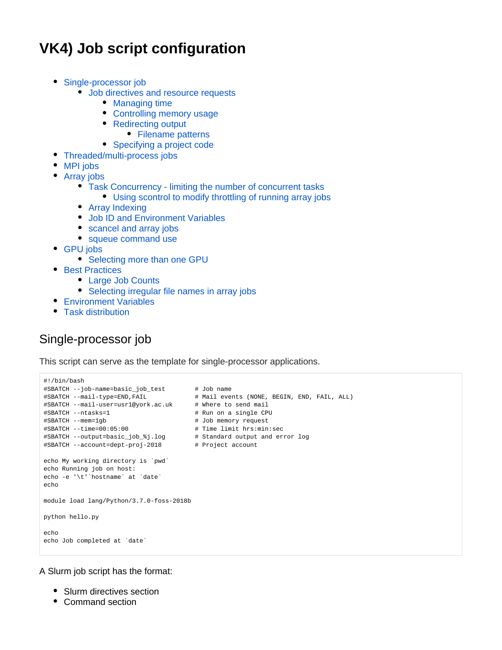# **VK4) Job script configuration**

- [Single-processor job](#page-0-0)
	- [Job directives and resource requests](#page-1-0)
		- [Managing time](#page-1-1)
		- [Controlling memory usage](#page-1-2)
		- [Redirecting output](#page-1-3)
		- [Filename patterns](#page-1-4)
		- [Specifying a project code](#page-1-5)
- [Threaded/multi-process jobs](#page-2-0)
- [MPI jobs](#page-2-1)
- [Array jobs](#page-3-0)
	- [Task Concurrency limiting the number of concurrent tasks](#page-4-0)
		- [Using scontrol to modify throttling of running array jobs](#page-4-1)
	- [Array Indexing](#page-4-2)
	- [Job ID and Environment Variables](#page-5-0)
	- [scancel and array jobs](#page-6-0)
	- [squeue command use](#page-6-1)
- [GPU jobs](#page-6-2)
	- [Selecting more than one GPU](#page-7-0)
- **[Best Practices](#page-8-0)** 
	- [Large Job Counts](#page-8-1)
	- [Selecting irregular file names in array jobs](#page-8-2)
- [Environment Variables](#page-10-0)
- $\bullet$ [Task distribution](#page-10-1)

# <span id="page-0-0"></span>Single-processor job

This script can serve as the template for single-processor applications.

```
#!/bin/bash
#SBATCH --job-name=basic_job_test # Job name
#SBATCH --mail-type=END,FAIL # Mail events (NONE, BEGIN, END, FAIL, ALL)
#SBATCH --mail-user=usr1@york.ac.uk # Where to send mail 
#SBATCH --ntasks=1 # Run on a single CPU
#SBATCH --mem=1gb # Job memory request
#SBATCH --time=00:05:00 # Time limit hrs:min:sec
#SBATCH --output=basic_job_%j.log # Standard output and error log
#SBATCH --account=dept-proj-2018 # Project account
echo My working directory is `pwd`
echo Running job on host:
echo -e '\t'`hostname` at `date`
echo
module load lang/Python/3.7.0-foss-2018b
python hello.py
echo
echo Job completed at `date`
```
A Slurm job script has the format:

- Slurm directives section
- Command section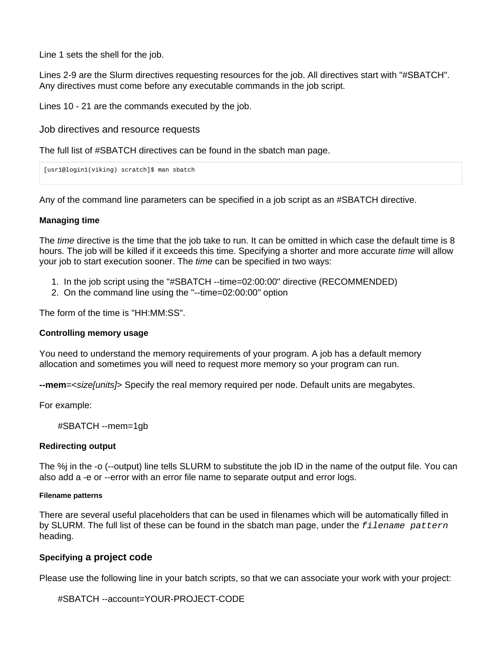Line 1 sets the shell for the job.

Lines 2-9 are the Slurm directives requesting resources for the job. All directives start with "#SBATCH". Any directives must come before any executable commands in the job script.

Lines 10 - 21 are the commands executed by the job.

<span id="page-1-0"></span>Job directives and resource requests

The full list of #SBATCH directives can be found in the sbatch man page.

```
[usr1@login1(viking) scratch]$ man sbatch
```
Any of the command line parameters can be specified in a job script as an #SBATCH directive.

### <span id="page-1-1"></span>**Managing time**

The *time* directive is the time that the job take to run. It can be omitted in which case the default time is 8 hours. The job will be killed if it exceeds this time. Specifying a shorter and more accurate time will allow your job to start execution sooner. The time can be specified in two ways:

- 1. In the job script using the "#SBATCH --time=02:00:00" directive (RECOMMENDED)
- 2. On the command line using the "--time=02:00:00" option

The form of the time is "HH:MM:SS".

### <span id="page-1-2"></span>**Controlling memory usage**

You need to understand the memory requirements of your program. A job has a default memory allocation and sometimes you will need to request more memory so your program can run.

**--mem**=<size[units]> Specify the real memory required per node. Default units are megabytes.

For example:

#SBATCH --mem=1gb

### <span id="page-1-3"></span>**Redirecting output**

The %j in the -o (--output) line tells SLURM to substitute the job ID in the name of the output file. You can also add a -e or --error with an error file name to separate output and error logs.

#### <span id="page-1-4"></span>**Filename patterns**

There are several useful placeholders that can be used in filenames which will be automatically filled in by SLURM. The full list of these can be found in the sbatch man page, under the  $filename$  pattern heading.

### <span id="page-1-5"></span>**Specifying a project code**

Please use the following line in your batch scripts, so that we can associate your work with your project:

```
#SBATCH --account=YOUR-PROJECT-CODE
```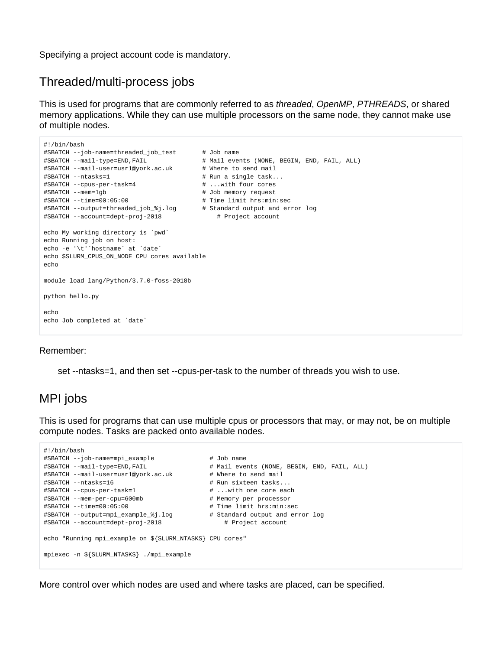Specifying a project account code is mandatory.

# <span id="page-2-0"></span>Threaded/multi-process jobs

This is used for programs that are commonly referred to as threaded, OpenMP, PTHREADS, or shared memory applications. While they can use multiple processors on the same node, they cannot make use of multiple nodes.

```
#!/bin/bash
#SBATCH --job-name=threaded_job_test # Job name
#SBATCH --mail-type=END,FAIL # Mail events (NONE, BEGIN, END, FAIL, ALL)
#SBATCH --mail-user=usr1@york.ac.uk # Where to send mail 
#SBATCH --ntasks=1 # Run a single task...
#SBATCH --cpus-per-task=4 # ...with four cores
#SBATCH --mem=1gb # Job memory request
#SBATCH --time=00:05:00 # Time limit hrs:min:sec
#SBATCH --output=threaded_job_%j.log # Standard output and error log
#SBATCH --account=dept-proj-2018 # Project account
echo My working directory is `pwd`
echo Running job on host:
echo -e '\t'`hostname` at `date`
echo $SLURM_CPUS_ON_NODE CPU cores available
echo
module load lang/Python/3.7.0-foss-2018b
python hello.py
echo
echo Job completed at `date`
```
### Remember:

set --ntasks=1, and then set --cpus-per-task to the number of threads you wish to use.

# <span id="page-2-1"></span>MPI jobs

This is used for programs that can use multiple cpus or processors that may, or may not, be on multiple compute nodes. Tasks are packed onto available nodes.

```
#!/bin/bash
#SBATCH --job-name=mpi_example # Job name
#SBATCH --mail-type=END,FAIL # Mail events (NONE, BEGIN, END, FAIL, ALL)
#SBATCH --mail-user=usr1@york.ac.uk # Where to send mail
#SBATCH --ntasks=16 # Run sixteen tasks...
#SBATCH --cpus-per-task=1 # ...with one core each
#SBATCH --mem-per-cpu=600mb # Memory per processor
#SBATCH --time=00:05:00 # Time limit hrs:min:sec
#SBATCH --output=mpi_example_%j.log # Standard output and error log
#SBATCH --account=dept-proj-2018 # Project account
echo "Running mpi_example on ${SLURM_NTASKS} CPU cores"
mpiexec -n ${SLURM_NTASKS} ./mpi_example
```
More control over which nodes are used and where tasks are placed, can be specified.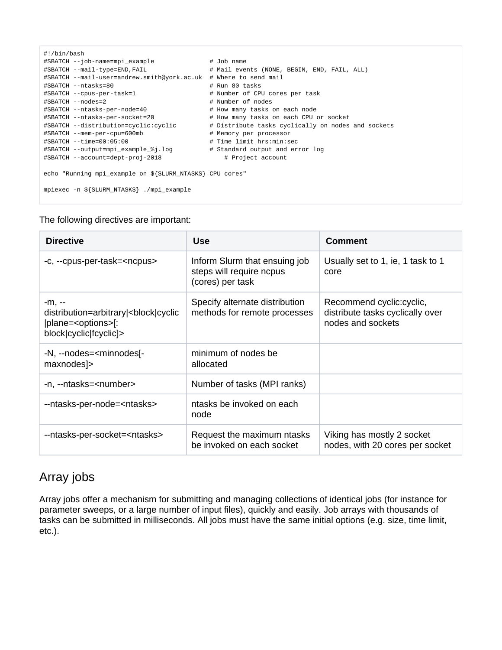```
#!/bin/bash
#SBATCH --job-name=mpi_example # Job name
#SBATCH --mail-type=END,FAIL # Mail events (NONE, BEGIN, END, FAIL, ALL)
#SBATCH --mail-user=andrew.smith@york.ac.uk # Where to send mail
#SBATCH --ntasks=80 # Run 80 tasks
#SBATCH --cpus-per-task=1 # Number of CPU cores per task
#SBATCH --nodes=2 # Number of nodes
#SBATCH --ntasks-per-node=40 # How many tasks on each node
#SBATCH --ntasks-per-socket=20 # How many tasks on each CPU or socket
#SBATCH --distribution=cyclic:cyclic # Distribute tasks cyclically on nodes and sockets
#SBATCH --mem-per-cpu=600mb # Memory per processor
#SBATCH --time=00:05:00 # Time limit hrs:min:sec
#SBATCH --output=mpi_example_%j.log # Standard output and error log
#SBATCH --account=dept-proj-2018 # Project account
echo "Running mpi_example on ${SLURM_NTASKS} CPU cores"
mpiexec -n ${SLURM_NTASKS} ./mpi_example
```
### The following directives are important:

| <b>Directive</b>                                                                                                 | <b>Use</b>                                                                    | <b>Comment</b>                                                                     |
|------------------------------------------------------------------------------------------------------------------|-------------------------------------------------------------------------------|------------------------------------------------------------------------------------|
| -c, --cpus-per-task= <ncpus></ncpus>                                                                             | Inform Slurm that ensuing job<br>steps will require ncpus<br>(cores) per task | Usually set to 1, ie, 1 task to 1<br>core                                          |
| -m, --<br>distribution=arbitrary <br>block cyclic<br> plane= <options> :<br/>block cyclic fcyclic &gt;</options> | Specify alternate distribution<br>methods for remote processes                | Recommend cyclic: cyclic,<br>distribute tasks cyclically over<br>nodes and sockets |
| -N, --nodes= <minnodes[-<br>maxnodes]&gt;</minnodes[-<br>                                                        | minimum of nodes be<br>allocated                                              |                                                                                    |
| -n, --ntasks= <number></number>                                                                                  | Number of tasks (MPI ranks)                                                   |                                                                                    |
| --ntasks-per-node= <ntasks></ntasks>                                                                             | ntasks be invoked on each<br>node                                             |                                                                                    |
| --ntasks-per-socket= <ntasks></ntasks>                                                                           | Request the maximum ntasks<br>be invoked on each socket                       | Viking has mostly 2 socket<br>nodes, with 20 cores per socket                      |

# <span id="page-3-0"></span>Array jobs

Array jobs offer a mechanism for submitting and managing collections of identical jobs (for instance for parameter sweeps, or a large number of input files), quickly and easily. Job arrays with thousands of tasks can be submitted in milliseconds. All jobs must have the same initial options (e.g. size, time limit, etc.).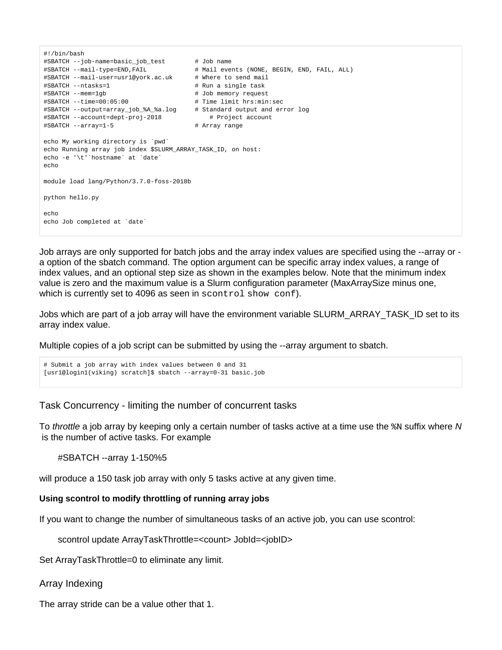```
#!/bin/bash
#SBATCH --job-name=basic_job_test # Job name
#SBATCH --mail-type=END,FAIL # Mail events (NONE, BEGIN, END, FAIL, ALL)
#SBATCH --mail-user=usr1@york.ac.uk # Where to send mail 
#SBATCH --ntasks=1 # Run a single task
#SBATCH --mem=1gb # Job memory request
#SBATCH --time=00:05:00 # Time limit hrs:min:sec
#SBATCH --output=array_job_%A_%a.log # Standard output and error log
#SBATCH --account=dept-proj-2018 # Project account
#SBATCH --array=1-5 # Array range
echo My working directory is `pwd`
echo Running array job index $SLURM_ARRAY_TASK_ID, on host:
echo -e '\t'`hostname` at `date`
echo
module load lang/Python/3.7.0-foss-2018b
python hello.py
echo
echo Job completed at `date`
```
Job arrays are only supported for batch jobs and the array index values are specified using the --array or a option of the sbatch command. The option argument can be specific array index values, a range of index values, and an optional step size as shown in the examples below. Note that the minimum index value is zero and the maximum value is a Slurm configuration parameter (MaxArraySize minus one, which is currently set to 4096 as seen in scontrol show conf).

Jobs which are part of a job array will have the environment variable SLURM\_ARRAY\_TASK\_ID set to its array index value.

Multiple copies of a job script can be submitted by using the --array argument to sbatch.

```
# Submit a job array with index values between 0 and 31
[usr1@login1(viking) scratch]$ sbatch --array=0-31 basic.job
```
<span id="page-4-0"></span>Task Concurrency - limiting the number of concurrent tasks

To *throttle* a job array by keeping only a certain number of tasks active at a time use the  $\frac{1}{8}$  suffix where N is the number of active tasks. For example

#SBATCH --array 1-150%5

will produce a 150 task job array with only 5 tasks active at any given time.

### <span id="page-4-1"></span>**Using scontrol to modify throttling of running array jobs**

If you want to change the number of simultaneous tasks of an active job, you can use scontrol:

scontrol update ArrayTaskThrottle=<count> JobId=<jobID>

Set ArrayTaskThrottle=0 to eliminate any limit.

```
Array Indexing
```
The array stride can be a value other that 1.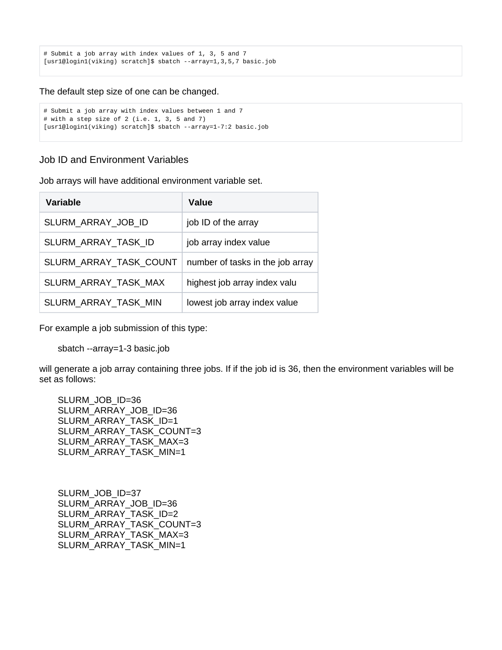```
# Submit a job array with index values of 1, 3, 5 and 7
[usr1@login1(viking) scratch]$ sbatch --array=1,3,5,7 basic.job
```
The default step size of one can be changed.

```
# Submit a job array with index values between 1 and 7
# with a step size of 2 (i.e. 1, 3, 5 and 7)
[usr1@login1(viking) scratch]$ sbatch --array=1-7:2 basic.job
```
<span id="page-5-0"></span>Job ID and Environment Variables

Job arrays will have additional environment variable set.

| <b>Variable</b>        | Value                            |
|------------------------|----------------------------------|
| SLURM ARRAY JOB ID     | job ID of the array              |
| SLURM ARRAY TASK ID    | job array index value            |
| SLURM_ARRAY_TASK_COUNT | number of tasks in the job array |
| SLURM_ARRAY_TASK_MAX   | highest job array index valu     |
| SLURM_ARRAY_TASK_MIN   | lowest job array index value     |

For example a job submission of this type:

sbatch --array=1-3 basic.job

will generate a job array containing three jobs. If if the job id is 36, then the environment variables will be set as follows:

SLURM\_JOB\_ID=36 SLURM\_ARRAY\_JOB\_ID=36 SLURM\_ARRAY\_TASK\_ID=1 SLURM\_ARRAY\_TASK\_COUNT=3 SLURM\_ARRAY\_TASK\_MAX=3 SLURM\_ARRAY\_TASK\_MIN=1

SLURM\_JOB\_ID=37 SLURM\_ARRAY\_JOB\_ID=36 SLURM\_ARRAY\_TASK\_ID=2 SLURM\_ARRAY\_TASK\_COUNT=3 SLURM\_ARRAY\_TASK\_MAX=3 SLURM\_ARRAY\_TASK\_MIN=1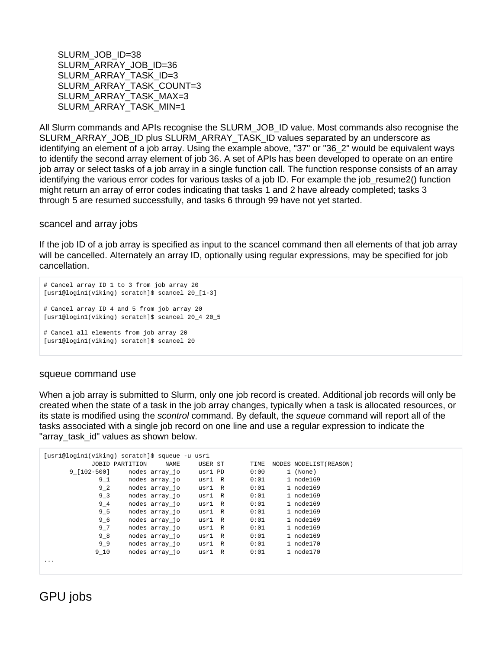SLURM\_JOB\_ID=38 SLURM\_ARRAY\_JOB\_ID=36 SLURM\_ARRAY\_TASK\_ID=3 SLURM\_ARRAY\_TASK\_COUNT=3 SLURM ARRAY TASK MAX=3 SLURM\_ARRAY\_TASK\_MIN=1

All Slurm commands and APIs recognise the SLURM\_JOB\_ID value. Most commands also recognise the SLURM\_ARRAY\_JOB\_ID plus SLURM\_ARRAY\_TASK\_ID values separated by an underscore as identifying an element of a job array. Using the example above, "37" or "36\_2" would be equivalent ways to identify the second array element of job 36. A set of APIs has been developed to operate on an entire job array or select tasks of a job array in a single function call. The function response consists of an array identifying the various error codes for various tasks of a job ID. For example the job\_resume2() function might return an array of error codes indicating that tasks 1 and 2 have already completed; tasks 3 through 5 are resumed successfully, and tasks 6 through 99 have not yet started.

<span id="page-6-0"></span>scancel and array jobs

If the job ID of a job array is specified as input to the scancel command then all elements of that job array will be cancelled. Alternately an array ID, optionally using regular expressions, may be specified for job cancellation.

```
# Cancel array ID 1 to 3 from job array 20
[usr1@login1(viking) scratch]$ scancel 20_[1-3]
# Cancel array ID 4 and 5 from job array 20
[usr1@login1(viking) scratch]$ scancel 20_4 20_5
# Cancel all elements from job array 20
[usr1@login1(viking) scratch]$ scancel 20
```
### <span id="page-6-1"></span>squeue command use

When a job array is submitted to Slurm, only one job record is created. Additional job records will only be created when the state of a task in the job array changes, typically when a task is allocated resources, or its state is modified using the scontrol command. By default, the squeue command will report all of the tasks associated with a single job record on one line and use a regular expression to indicate the "array task id" values as shown below.

| [usr1@login1(viking) scratch]\$ squeue -u usr1 |                 |                |         |  |      |                         |
|------------------------------------------------|-----------------|----------------|---------|--|------|-------------------------|
|                                                | JOBID PARTITION | NAME           | USER ST |  | TIME | NODES NODELIST (REASON) |
| $9$ [102-500]                                  |                 | nodes array_jo | usrl PD |  | 0:00 | 1 (None)                |
| $9 - 1$                                        |                 | nodes array jo | usrl R  |  | 0:01 | 1 node169               |
| 9 <sub>2</sub>                                 |                 | nodes array jo | usrl R  |  | 0:01 | 1 node169               |
| 9 <sub>3</sub>                                 |                 | nodes array jo | usrl R  |  | 0:01 | 1 node169               |
| $9 - 4$                                        |                 | nodes array jo | usrl R  |  | 0:01 | 1 node169               |
| 9 5                                            |                 | nodes array jo | usrl R  |  | 0:01 | 1 node169               |
| 9 6                                            |                 | nodes array jo | usrl R  |  | 0:01 | 1 node169               |
| $9 - 7$                                        |                 | nodes array jo | usrl R  |  | 0:01 | 1 node169               |
| 9 8                                            |                 | nodes array jo | usrl R  |  | 0:01 | 1 node169               |
| 99                                             |                 | nodes array jo | usrl R  |  | 0:01 | 1 node170               |
| 9 10                                           |                 | nodes array jo | usrl R  |  | 0:01 | 1 node170               |
| .                                              |                 |                |         |  |      |                         |

<span id="page-6-2"></span>GPU jobs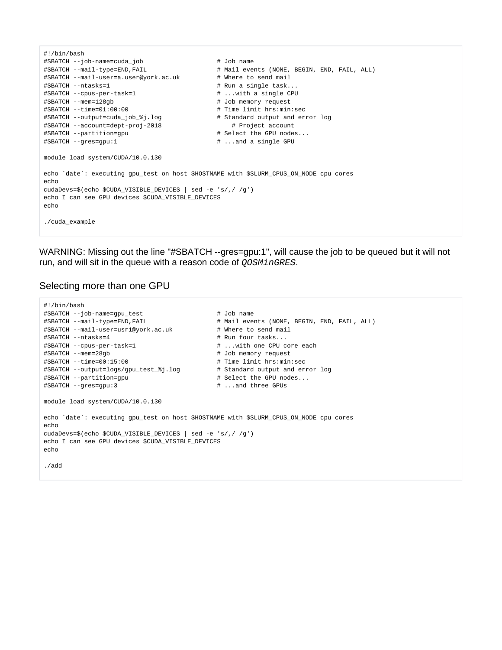```
#!/bin/bash
#SBATCH --job-name=cuda_job # Job name
#SBATCH --mail-type=END,FAIL # Mail events (NONE, BEGIN, END, FAIL, ALL)
#SBATCH --mail-user=a.user@york.ac.uk # Where to send mail
                                              # Run a single task...
#SBATCH --cpus-per-task=1 # ...with a single CPU
#SBATCH --mem=128gb # Job memory request
#SBATCH --time=01:00:00 # Time limit hrs:min:sec
#SBATCH --output=cuda_job_%j.log
#SBATCH --account=dept-proj-2018
#BBATCH --output=cuda_job_$j.log # Standard output and error log<br>#SBATCH --account=dept-proj-2018 # Project account<br>#SBATCH --partition=gpu # Select the GPU nodes...<br>#SBATCH --ares=qpu:1 # ...and a single GPU
                                              # ...and a single GPU
module load system/CUDA/10.0.130
echo 'date': executing gpu test on host $HOSTNAME with $SLURM CPUS ON NODE cpu cores
echo
cudaDevs=$(echo $CUDA_VISIBLE_DEVICES | sed -e 's/,/ /g')
echo I can see GPU devices $CUDA_VISIBLE_DEVICES
echo 
./cuda_example
```
WARNING: Missing out the line "#SBATCH --gres=gpu:1", will cause the job to be queued but it will not run, and will sit in the queue with a reason code of *QOSMinGRES*.

### <span id="page-7-0"></span>Selecting more than one GPU

```
#!/bin/bash
#SBATCH --job-name=gpu_test # Job name
#SBATCH --mail-type=END,FAIL # # Mail events (NONE, BEGIN, END, FAIL, ALL)<br>#SBATCH --mail-user=usr1@york.ac.uk # # Where to send mail
#SBATCH --mail-user=usr1@york.ac.uk
#SBATCH --ntasks=4 # Run four tasks... 
#SBATCH --cpus-per-task=1 \qquad # ...with one CPU core each
#SBATCH --mem=28gb # Job memory request
#SBATCH --time=00:15:00 # Time limit hrs:min:sec
#SBATCH --output=logs/gpu_test_%j.log # Standard output and error log
#SBATCH --partition=gpu # Select the GPU nodes...
#SBATCH --gres=gpu:3 # ...and three GPUs
module load system/CUDA/10.0.130
echo `date`: executing gpu_test on host $HOSTNAME with $SLURM_CPUS_ON_NODE cpu cores
echo
cudaDevs=$(echo $CUDA_VISIBLE_DEVICES | sed -e 's/,/ /g')
echo I can see GPU devices $CUDA_VISIBLE_DEVICES
echo 
./add
```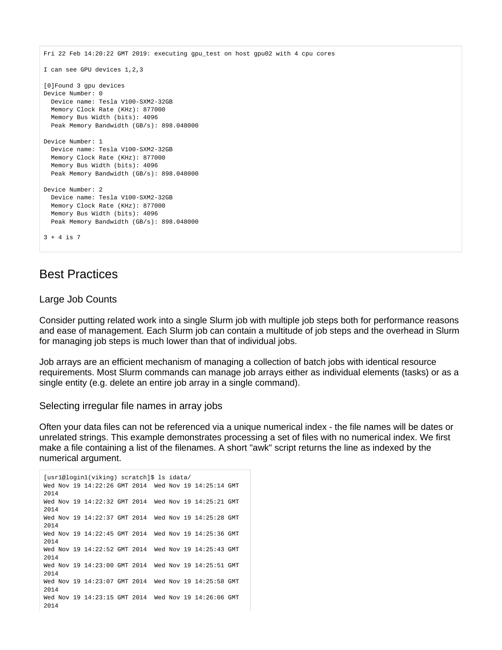```
Fri 22 Feb 14:20:22 GMT 2019: executing gpu_test on host gpu02 with 4 cpu cores
I can see GPU devices 1,2,3
[0]Found 3 gpu devices
Device Number: 0
  Device name: Tesla V100-SXM2-32GB
  Memory Clock Rate (KHz): 877000
  Memory Bus Width (bits): 4096
   Peak Memory Bandwidth (GB/s): 898.048000
Device Number: 1
  Device name: Tesla V100-SXM2-32GB
  Memory Clock Rate (KHz): 877000
  Memory Bus Width (bits): 4096
  Peak Memory Bandwidth (GB/s): 898.048000
Device Number: 2
  Device name: Tesla V100-SXM2-32GB
  Memory Clock Rate (KHz): 877000
  Memory Bus Width (bits): 4096
  Peak Memory Bandwidth (GB/s): 898.048000
3 + 4 is 7
```
# <span id="page-8-0"></span>Best Practices

## <span id="page-8-1"></span>Large Job Counts

Consider putting related work into a single Slurm job with multiple job steps both for performance reasons and ease of management. Each Slurm job can contain a multitude of job steps and the overhead in Slurm for managing job steps is much lower than that of individual jobs.

Job arrays are an efficient mechanism of managing a collection of batch jobs with identical resource requirements. Most Slurm commands can manage job arrays either as individual elements (tasks) or as a single entity (e.g. delete an entire job array in a single command).

<span id="page-8-2"></span>Selecting irregular file names in array jobs

Often your data files can not be referenced via a unique numerical index - the file names will be dates or unrelated strings. This example demonstrates processing a set of files with no numerical index. We first make a file containing a list of the filenames. A short "awk" script returns the line as indexed by the numerical argument.

```
[usr1@login1(viking) scratch]$ ls idata/
Wed Nov 19 14:22:26 GMT 2014 Wed Nov 19 14:25:14 GMT 
2014
Wed Nov 19 14:22:32 GMT 2014 Wed Nov 19 14:25:21 GMT 
2014
Wed Nov 19 14:22:37 GMT 2014 Wed Nov 19 14:25:28 GMT 
2014
Wed Nov 19 14:22:45 GMT 2014 Wed Nov 19 14:25:36 GMT 
2014
Wed Nov 19 14:22:52 GMT 2014 Wed Nov 19 14:25:43 GMT 
2014
Wed Nov 19 14:23:00 GMT 2014 Wed Nov 19 14:25:51 GMT 
2014
Wed Nov 19 14:23:07 GMT 2014 Wed Nov 19 14:25:58 GMT 
2014
Wed Nov 19 14:23:15 GMT 2014 Wed Nov 19 14:26:06 GMT 
2014
```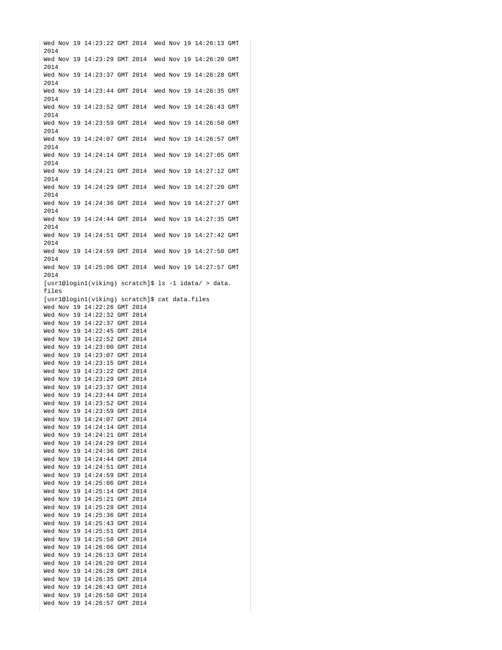Wed Nov 19 14:23:22 GMT 2014 Wed Nov 19 14:26:13 GMT 2014 Wed Nov 19 14:23:29 GMT 2014 Wed Nov 19 14:26:20 GMT 2014 Wed Nov 19 14:23:37 GMT 2014 Wed Nov 19 14:26:28 GMT 2014 Wed Nov 19 14:23:44 GMT 2014 Wed Nov 19 14:26:35 GMT  $2014$ Wed Nov 19 14:23:52 GMT 2014 Wed Nov 19 14:26:43 GMT 2014 Wed Nov 19 14:23:59 GMT 2014 Wed Nov 19 14:26:50 GMT 2014 Wed Nov 19 14:24:07 GMT 2014 Wed Nov 19 14:26:57 GMT 2014 Wed Nov 19 14:24:14 GMT 2014 Wed Nov 19 14:27:05 GMT 2014 Wed Nov 19 14:24:21 GMT 2014 Wed Nov 19 14:27:12 GMT 2014 Wed Nov 19 14:24:29 GMT 2014 Wed Nov 19 14:27:20 GMT 2014 Wed Nov 19 14:24:36 GMT 2014 Wed Nov 19 14:27:27 GMT 2014 Wed Nov 19 14:24:44 GMT 2014 Wed Nov 19 14:27:35 GMT 2014 Wed Nov 19 14:24:51 GMT 2014 Wed Nov 19 14:27:42 GMT 2014 Wed Nov 19 14:24:59 GMT 2014 Wed Nov 19 14:27:50 GMT 2014 Wed Nov 19 14:25:06 GMT 2014 Wed Nov 19 14:27:57 GMT 2014 [usr1@login1(viking) scratch]\$ ls -1 idata/ > data. files [usr1@login1(viking) scratch]\$ cat data.files Wed Nov 19 14:22:26 GMT 2014 Wed Nov 19 14:22:32 GMT 2014 Wed Nov 19 14:22:37 GMT 2014 Wed Nov 19 14:22:45 GMT 2014 Wed Nov 19 14:22:52 GMT 2014 Wed Nov 19 14:23:00 GMT 2014 Wed Nov 19 14:23:07 GMT 2014 Wed Nov 19 14:23:15 GMT 2014 Wed Nov 19 14:23:22 GMT 2014 Wed Nov 19 14:23:29 GMT 2014 Wed Nov 19 14:23:37 GMT 2014 Wed Nov 19 14:23:44 GMT 2014 Wed Nov 19 14:23:52 GMT 2014 Wed Nov 19 14:23:59 GMT 2014 Wed Nov 19 14:24:07 GMT 2014 Wed Nov 19 14:24:14 GMT 2014 Wed Nov 19 14:24:21 GMT 2014 Wed Nov 19 14:24:29 GMT 2014 Wed Nov 19 14:24:36 GMT 2014 Wed Nov 19 14:24:44 GMT 2014 Wed Nov 19 14:24:51 GMT 2014 Wed Nov 19 14:24:59 GMT 2014 Wed Nov 19 14:25:06 GMT 2014 Wed Nov 19 14:25:14 GMT 2014 Wed Nov 19 14:25:21 GMT 2014 Wed Nov 19 14:25:28 GMT 2014 Wed Nov 19 14:25:36 GMT 2014 Wed Nov 19 14:25:43 GMT 2014 Wed Nov 19 14:25:51 GMT 2014 Wed Nov 19 14:25:58 GMT 2014 Wed Nov 19 14:26:06 GMT 2014 Wed Nov 19 14:26:13 GMT 2014 Wed Nov 19 14:26:20 GMT 2014 Wed Nov 19 14:26:28 GMT 2014 Wed Nov 19 14:26:35 GMT 2014 Wed Nov 19 14:26:43 GMT 2014 Wed Nov 19 14:26:50 GMT 2014 Wed Nov 19 14:26:57 GMT 2014